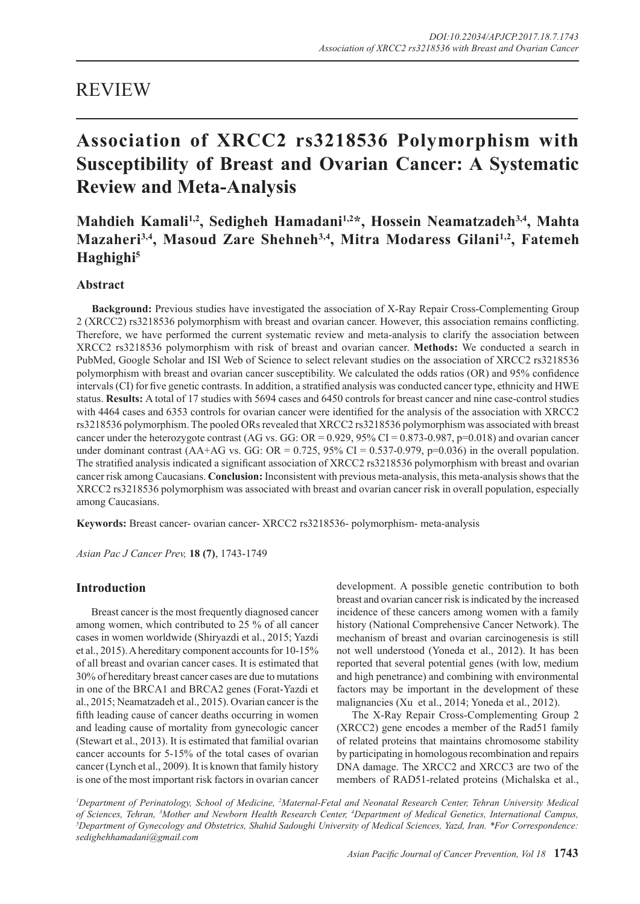## REVIEW

# **Association of XRCC2 rs3218536 Polymorphism with Susceptibility of Breast and Ovarian Cancer: A Systematic Review and Meta-Analysis**

## **Mahdieh Kamali1,2, Sedigheh Hamadani1,2\*, Hossein Neamatzadeh3,4, Mahta Mazaheri3,4, Masoud Zare Shehneh3,4, Mitra Modaress Gilani1,2, Fatemeh Haghighi5**

## **Abstract**

**Background:** Previous studies have investigated the association of X-Ray Repair Cross-Complementing Group 2 (XRCC2) rs3218536 polymorphism with breast and ovarian cancer. However, this association remains conflicting. Therefore, we have performed the current systematic review and meta-analysis to clarify the association between XRCC2 rs3218536 polymorphism with risk of breast and ovarian cancer. **Methods:** We conducted a search in PubMed, Google Scholar and ISI Web of Science to select relevant studies on the association of XRCC2 rs3218536 polymorphism with breast and ovarian cancer susceptibility. We calculated the odds ratios (OR) and 95% confidence intervals (CI) for five genetic contrasts. In addition, a stratified analysis was conducted cancer type, ethnicity and HWE status. **Results:** A total of 17 studies with 5694 cases and 6450 controls for breast cancer and nine case-control studies with 4464 cases and 6353 controls for ovarian cancer were identified for the analysis of the association with XRCC2 rs3218536 polymorphism. The pooled ORs revealed that XRCC2 rs3218536 polymorphism was associated with breast cancer under the heterozygote contrast (AG vs. GG: OR =  $0.929$ ,  $95\%$  CI =  $0.873$ -0.987, p=0.018) and ovarian cancer under dominant contrast (AA+AG vs. GG: OR =  $0.725$ , 95% CI = 0.537-0.979, p=0.036) in the overall population. The stratified analysis indicated a significant association of XRCC2 rs3218536 polymorphism with breast and ovarian cancer risk among Caucasians. **Conclusion:** Inconsistent with previous meta-analysis, this meta-analysis shows that the XRCC2 rs3218536 polymorphism was associated with breast and ovarian cancer risk in overall population, especially among Caucasians.

**Keywords:** Breast cancer- ovarian cancer- XRCC2 rs3218536- polymorphism- meta-analysis

*Asian Pac J Cancer Prev,* **18 (7)**, 1743-1749

### **Introduction**

Breast cancer is the most frequently diagnosed cancer among women, which contributed to 25 % of all cancer cases in women worldwide (Shiryazdi et al., 2015; Yazdi et al., 2015). A hereditary component accounts for 10-15% of all breast and ovarian cancer cases. It is estimated that 30% of hereditary breast cancer cases are due to mutations in one of the BRCA1 and BRCA2 genes (Forat-Yazdi et al., 2015; Neamatzadeh et al., 2015). Ovarian cancer is the fifth leading cause of cancer deaths occurring in women and leading cause of mortality from gynecologic cancer (Stewart et al., 2013). It is estimated that familial ovarian cancer accounts for 5-15% of the total cases of ovarian cancer (Lynch et al., 2009). It is known that family history is one of the most important risk factors in ovarian cancer

development. A possible genetic contribution to both breast and ovarian cancer risk is indicated by the increased incidence of these cancers among women with a family history (National Comprehensive Cancer Network). The mechanism of breast and ovarian carcinogenesis is still not well understood (Yoneda et al., 2012). It has been reported that several potential genes (with low, medium and high penetrance) and combining with environmental factors may be important in the development of these malignancies (Xu et al., 2014; Yoneda et al., 2012).

The X-Ray Repair Cross-Complementing Group 2 (XRCC2) gene encodes a member of the Rad51 family of related proteins that maintains chromosome stability by participating in homologous recombination and repairs DNA damage. The XRCC2 and XRCC3 are two of the members of RAD51-related proteins (Michalska et al.,

<sup>1</sup>Department of Perinatology, School of Medicine, <sup>2</sup>Maternal-Fetal and Neonatal Research Center, Tehran University Medical *of Sciences, Tehran, 3 Mother and Newborn Health Research Center, 4 Department of Medical Genetics, International Campus, 5* <sup>5</sup>Department of Gynecology and Obstetrics, Shahid Sadoughi University of Medical Sciences, Yazd, Iran. *\*For Correspondence*: *sedighehhamadani@gmail.com*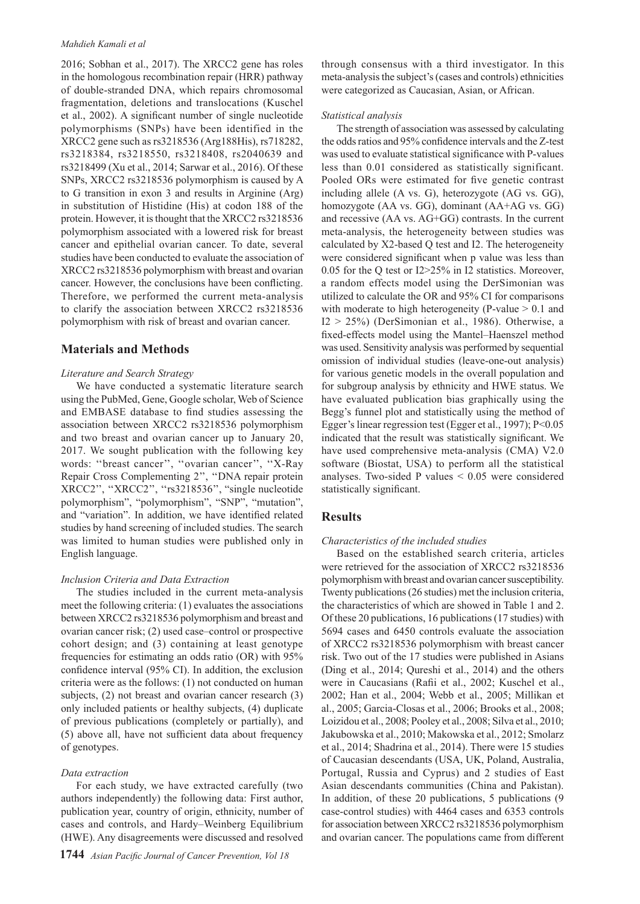#### *Mahdieh Kamali et al*

2016; Sobhan et al., 2017). The XRCC2 gene has roles in the homologous recombination repair (HRR) pathway of double-stranded DNA, which repairs chromosomal fragmentation, deletions and translocations (Kuschel et al., 2002). A significant number of single nucleotide polymorphisms (SNPs) have been identified in the XRCC2 gene such as rs3218536 (Arg188His), rs718282, rs3218384, rs3218550, rs3218408, rs2040639 and rs3218499 (Xu et al., 2014; Sarwar et al., 2016). Of these SNPs, XRCC2 rs3218536 polymorphism is caused by A to G transition in exon 3 and results in Arginine (Arg) in substitution of Histidine (His) at codon 188 of the protein. However, it is thought that the XRCC2 rs3218536 polymorphism associated with a lowered risk for breast cancer and epithelial ovarian cancer. To date, several studies have been conducted to evaluate the association of XRCC2 rs3218536 polymorphism with breast and ovarian cancer. However, the conclusions have been conflicting. Therefore, we performed the current meta-analysis to clarify the association between XRCC2 rs3218536 polymorphism with risk of breast and ovarian cancer.

## **Materials and Methods**

#### *Literature and Search Strategy*

We have conducted a systematic literature search using the PubMed, Gene, Google scholar, Web of Science and EMBASE database to find studies assessing the association between XRCC2 rs3218536 polymorphism and two breast and ovarian cancer up to January 20, 2017. We sought publication with the following key words: "breast cancer", "ovarian cancer", "X-Ray Repair Cross Complementing 2'', ''DNA repair protein XRCC2'', ''XRCC2'', ''rs3218536'', "single nucleotide polymorphism", "polymorphism", "SNP", "mutation", and "variation". In addition, we have identified related studies by hand screening of included studies. The search was limited to human studies were published only in English language.

### *Inclusion Criteria and Data Extraction*

The studies included in the current meta-analysis meet the following criteria: (1) evaluates the associations between XRCC2 rs3218536 polymorphism and breast and ovarian cancer risk; (2) used case–control or prospective cohort design; and (3) containing at least genotype frequencies for estimating an odds ratio (OR) with 95% confidence interval (95% CI). In addition, the exclusion criteria were as the follows: (1) not conducted on human subjects, (2) not breast and ovarian cancer research (3) only included patients or healthy subjects, (4) duplicate of previous publications (completely or partially), and (5) above all, have not sufficient data about frequency of genotypes.

#### *Data extraction*

For each study, we have extracted carefully (two authors independently) the following data: First author, publication year, country of origin, ethnicity, number of cases and controls, and Hardy–Weinberg Equilibrium (HWE). Any disagreements were discussed and resolved

through consensus with a third investigator. In this meta-analysis the subject's (cases and controls) ethnicities were categorized as Caucasian, Asian, or African.

#### *Statistical analysis*

The strength of association was assessed by calculating the odds ratios and 95% confidence intervals and the Z-test was used to evaluate statistical significance with P-values less than 0.01 considered as statistically significant. Pooled ORs were estimated for five genetic contrast including allele (A vs. G), heterozygote (AG vs. GG), homozygote (AA vs. GG), dominant (AA+AG vs. GG) and recessive (AA vs. AG+GG) contrasts. In the current meta-analysis, the heterogeneity between studies was calculated by X2-based Q test and I2. The heterogeneity were considered significant when p value was less than 0.05 for the Q test or I2>25% in I2 statistics. Moreover, a random effects model using the DerSimonian was utilized to calculate the OR and 95% CI for comparisons with moderate to high heterogeneity (P-value  $> 0.1$  and  $I2 > 25\%$ ) (DerSimonian et al., 1986). Otherwise, a fixed-effects model using the Mantel–Haenszel method was used. Sensitivity analysis was performed by sequential omission of individual studies (leave-one-out analysis) for various genetic models in the overall population and for subgroup analysis by ethnicity and HWE status. We have evaluated publication bias graphically using the Begg's funnel plot and statistically using the method of Egger's linear regression test (Egger et al., 1997); P<0.05 indicated that the result was statistically significant. We have used comprehensive meta-analysis (CMA) V2.0 software (Biostat, USA) to perform all the statistical analyses. Two-sided P values  $\leq 0.05$  were considered statistically significant.

## **Results**

#### *Characteristics of the included studies*

Based on the established search criteria, articles were retrieved for the association of XRCC2 rs3218536 polymorphism with breast and ovarian cancer susceptibility. Twenty publications (26 studies) met the inclusion criteria, the characteristics of which are showed in Table 1 and 2. Of these 20 publications, 16 publications (17 studies) with 5694 cases and 6450 controls evaluate the association of XRCC2 rs3218536 polymorphism with breast cancer risk. Two out of the 17 studies were published in Asians (Ding et al., 2014; Qureshi et al., 2014) and the others were in Caucasians (Rafii et al., 2002; Kuschel et al., 2002; Han et al., 2004; Webb et al., 2005; Millikan et al., 2005; Garcia-Closas et al., 2006; Brooks et al., 2008; Loizidou et al., 2008; Pooley et al., 2008; Silva et al., 2010; Jakubowska et al., 2010; Makowska et al., 2012; Smolarz et al., 2014; Shadrina et al., 2014). There were 15 studies of Caucasian descendants (USA, UK, Poland, Australia, Portugal, Russia and Cyprus) and 2 studies of East Asian descendants communities (China and Pakistan). In addition, of these 20 publications, 5 publications (9 case-control studies) with 4464 cases and 6353 controls for association between XRCC2 rs3218536 polymorphism and ovarian cancer. The populations came from different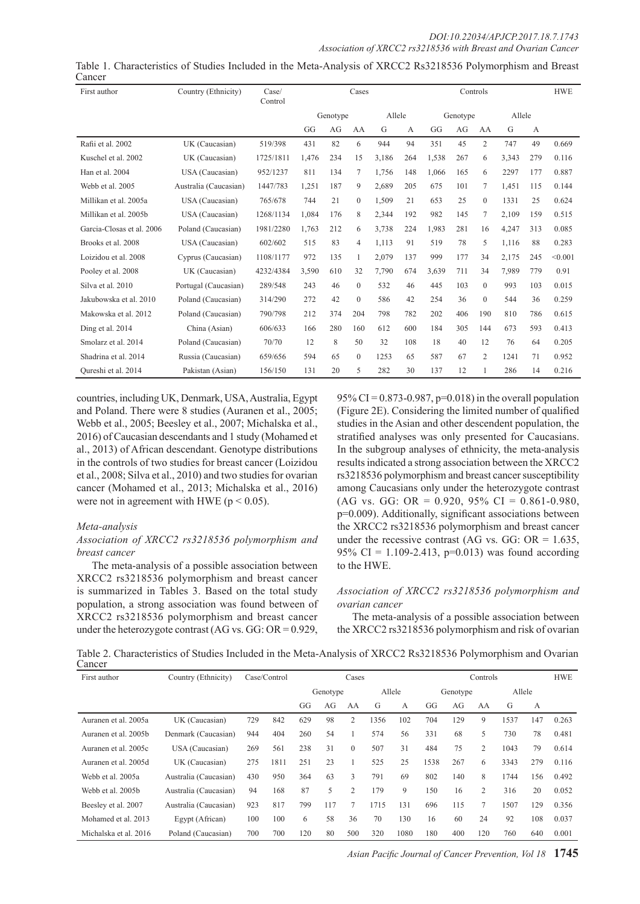#### *DOI:10.22034/APJCP.2017.18.7.1743 Association of XRCC2 rs3218536 with Breast and Ovarian Cancer*

| First author              | Country (Ethnicity)   | Case/<br>Control | Cases    |     |                |        | Controls |          |     |          | <b>HWE</b> |     |         |
|---------------------------|-----------------------|------------------|----------|-----|----------------|--------|----------|----------|-----|----------|------------|-----|---------|
|                           |                       |                  | Genotype |     |                | Allele |          | Genotype |     | Allele   |            |     |         |
|                           |                       |                  | GG       | AG  | AA             | G      | A        | GG       | AG  | AA       | G          | A   |         |
| Rafii et al. 2002         | UK (Caucasian)        | 519/398          | 431      | 82  | 6              | 944    | 94       | 351      | 45  | 2        | 747        | 49  | 0.669   |
| Kuschel et al. 2002       | UK (Caucasian)        | 1725/1811        | 1,476    | 234 | 15             | 3,186  | 264      | 1,538    | 267 | 6        | 3,343      | 279 | 0.116   |
| Han et al. 2004           | USA (Caucasian)       | 952/1237         | 811      | 134 | 7              | 1,756  | 148      | 1,066    | 165 | 6        | 2297       | 177 | 0.887   |
| Webb et al. 2005          | Australia (Caucasian) | 1447/783         | 1,251    | 187 | 9              | 2,689  | 205      | 675      | 101 | 7        | 1,451      | 115 | 0.144   |
| Millikan et al. 2005a     | USA (Caucasian)       | 765/678          | 744      | 21  | $\overline{0}$ | 1,509  | 21       | 653      | 25  | $\theta$ | 1331       | 25  | 0.624   |
| Millikan et al. 2005b     | USA (Caucasian)       | 1268/1134        | 1,084    | 176 | 8              | 2,344  | 192      | 982      | 145 | 7        | 2,109      | 159 | 0.515   |
| Garcia-Closas et al. 2006 | Poland (Caucasian)    | 1981/2280        | 1.763    | 212 | 6              | 3.738  | 224      | 1.983    | 281 | 16       | 4,247      | 313 | 0.085   |
| Brooks et al. 2008        | USA (Caucasian)       | 602/602          | 515      | 83  | 4              | 1,113  | 91       | 519      | 78  | 5        | 1,116      | 88  | 0.283   |
| Loizidou et al. 2008      | Cyprus (Caucasian)    | 1108/1177        | 972      | 135 | 1              | 2,079  | 137      | 999      | 177 | 34       | 2,175      | 245 | < 0.001 |
| Pooley et al. 2008        | UK (Caucasian)        | 4232/4384        | 3,590    | 610 | 32             | 7,790  | 674      | 3.639    | 711 | 34       | 7,989      | 779 | 0.91    |
| Silva et al. 2010         | Portugal (Caucasian)  | 289/548          | 243      | 46  | $\mathbf{0}$   | 532    | 46       | 445      | 103 | $\theta$ | 993        | 103 | 0.015   |
| Jakubowska et al. 2010    | Poland (Caucasian)    | 314/290          | 272      | 42  | $\mathbf{0}$   | 586    | 42       | 254      | 36  | $\Omega$ | 544        | 36  | 0.259   |
| Makowska et al. 2012      | Poland (Caucasian)    | 790/798          | 212      | 374 | 204            | 798    | 782      | 202      | 406 | 190      | 810        | 786 | 0.615   |
| Ding et al. 2014          | China (Asian)         | 606/633          | 166      | 280 | 160            | 612    | 600      | 184      | 305 | 144      | 673        | 593 | 0.413   |
| Smolarz et al. 2014       | Poland (Caucasian)    | 70/70            | 12       | 8   | 50             | 32     | 108      | 18       | 40  | 12       | 76         | 64  | 0.205   |
| Shadrina et al. 2014      | Russia (Caucasian)    | 659/656          | 594      | 65  | $\mathbf{0}$   | 1253   | 65       | 587      | 67  | 2        | 1241       | 71  | 0.952   |
| Oureshi et al. 2014       | Pakistan (Asian)      | 156/150          | 131      | 20  | 5              | 282    | 30       | 137      | 12  |          | 286        | 14  | 0.216   |

Table 1. Characteristics of Studies Included in the Meta-Analysis of XRCC2 Rs3218536 Polymorphism and Breast Cancer

countries, including UK, Denmark, USA, Australia, Egypt and Poland. There were 8 studies (Auranen et al., 2005; Webb et al., 2005; Beesley et al., 2007; Michalska et al., 2016) of Caucasian descendants and 1 study (Mohamed et al., 2013) of African descendant. Genotype distributions in the controls of two studies for breast cancer (Loizidou et al., 2008; Silva et al., 2010) and two studies for ovarian cancer (Mohamed et al., 2013; Michalska et al., 2016) were not in agreement with HWE ( $p < 0.05$ ).

#### *Meta-analysis*

#### *Association of XRCC2 rs3218536 polymorphism and breast cancer*

The meta-analysis of a possible association between XRCC2 rs3218536 polymorphism and breast cancer is summarized in Tables 3. Based on the total study population, a strong association was found between of XRCC2 rs3218536 polymorphism and breast cancer under the heterozygote contrast (AG vs. GG: OR = 0.929,

95% CI = 0.873-0.987, p=0.018) in the overall population (Figure 2E). Considering the limited number of qualified studies in the Asian and other descendent population, the stratified analyses was only presented for Caucasians. In the subgroup analyses of ethnicity, the meta-analysis results indicated a strong association between the XRCC2 rs3218536 polymorphism and breast cancer susceptibility among Caucasians only under the heterozygote contrast (AG vs. GG: OR = 0.920, 95% CI = 0.861-0.980, p=0.009). Additionally, significant associations between the XRCC2 rs3218536 polymorphism and breast cancer under the recessive contrast (AG vs. GG:  $OR = 1.635$ , 95% CI = 1.109-2.413, p=0.013) was found according to the HWE.

#### *Association of XRCC2 rs3218536 polymorphism and ovarian cancer*

The meta-analysis of a possible association between the XRCC2 rs3218536 polymorphism and risk of ovarian

Table 2. Characteristics of Studies Included in the Meta-Analysis of XRCC2 Rs3218536 Polymorphism and Ovarian Cancer

| First author          | Country (Ethnicity)   | Case/Control<br>Cases |      |          |     | Controls       |        |      |          |     | <b>HWE</b>     |      |     |       |
|-----------------------|-----------------------|-----------------------|------|----------|-----|----------------|--------|------|----------|-----|----------------|------|-----|-------|
|                       |                       |                       |      | Genotype |     |                | Allele |      | Genotype |     | Allele         |      |     |       |
|                       |                       |                       |      | GG       | AG  | AA             | G      | A    | GG       | AG  | AA             | G    | A   |       |
| Auranen et al. 2005a  | UK (Caucasian)        | 729                   | 842  | 629      | 98  | 2              | 1356   | 102  | 704      | 129 | 9              | 1537 | 147 | 0.263 |
| Auranen et al. 2005b  | Denmark (Caucasian)   | 944                   | 404  | 260      | 54  |                | 574    | 56   | 331      | 68  | 5              | 730  | 78  | 0.481 |
| Auranen et al. 2005c  | USA (Caucasian)       | 269                   | 561  | 238      | 31  | $\Omega$       | 507    | 31   | 484      | 75  | 2              | 1043 | 79  | 0.614 |
| Auranen et al. 2005d  | UK (Caucasian)        | 275                   | 1811 | 251      | 23  |                | 525    | 25   | 1538     | 267 | 6              | 3343 | 279 | 0.116 |
| Webb et al. 2005a     | Australia (Caucasian) | 430                   | 950  | 364      | 63  | 3              | 791    | 69   | 802      | 140 | 8              | 1744 | 156 | 0.492 |
| Webb et al. 2005b     | Australia (Caucasian) | 94                    | 168  | 87       | 5   | $\overline{2}$ | 179    | 9    | 150      | 16  | $\overline{2}$ | 316  | 20  | 0.052 |
| Beesley et al. 2007   | Australia (Caucasian) | 923                   | 817  | 799      | 117 | 7              | 1715   | 131  | 696      | 115 | $\overline{7}$ | 1507 | 129 | 0.356 |
| Mohamed et al. 2013   | Egypt (African)       | 100                   | 100  | 6        | 58  | 36             | 70     | 130  | 16       | 60  | 24             | 92   | 108 | 0.037 |
| Michalska et al. 2016 | Poland (Caucasian)    | 700                   | 700  | 120      | 80  | 500            | 320    | 1080 | 180      | 400 | 120            | 760  | 640 | 0.001 |

*Asian Pacific Journal of Cancer Prevention, Vol 18* **1745**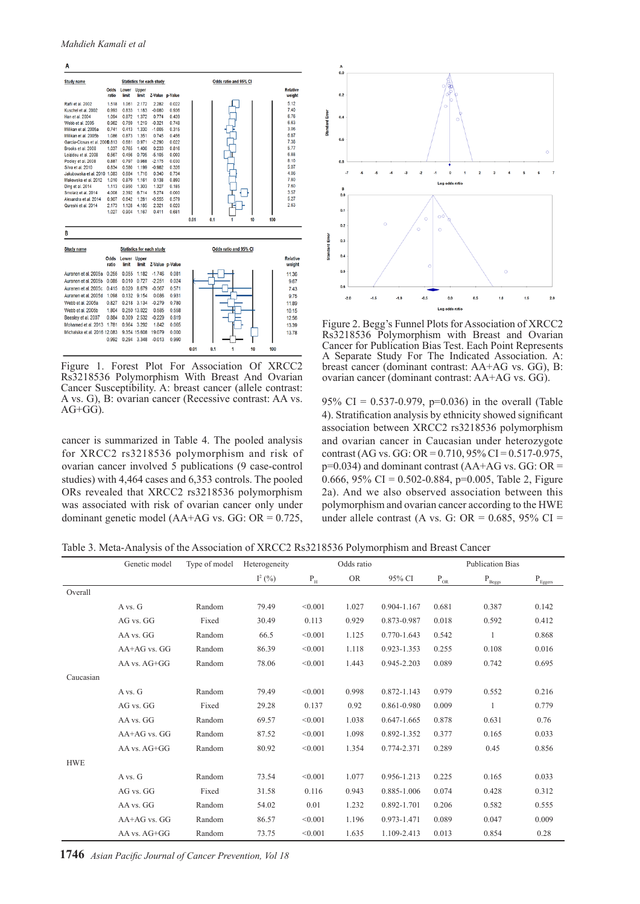A



Figure 1. Forest Plot For Association Of XRCC2 Rs3218536 Polymorphism With Breast And Ovarian Cancer Susceptibility. A: breast cancer (allele contrast: A vs. G), B: ovarian cancer (Recessive contrast: AA vs.  $AG+GG$ ).

cancer is summarized in Table 4. The pooled analysis for XRCC2 rs3218536 polymorphism and risk of ovarian cancer involved 5 publications (9 case-control studies) with 4,464 cases and 6,353 controls. The pooled ORs revealed that XRCC2 rs3218536 polymorphism was associated with risk of ovarian cancer only under dominant genetic model ( $AA+AG$  vs.  $GG$ :  $OR = 0.725$ ,



Figure 2. Begg's Funnel Plots for Association of XRCC2 Rs3218536 Polymorphism with Breast and Ovarian Cancer for Publication Bias Test. Each Point Represents A Separate Study For The Indicated Association. A: breast cancer (dominant contrast: AA+AG vs. GG), B: ovarian cancer (dominant contrast: AA+AG vs. GG).

95% CI = 0.537-0.979, p=0.036) in the overall (Table 4). Stratification analysis by ethnicity showed significant association between XRCC2 rs3218536 polymorphism and ovarian cancer in Caucasian under heterozygote contrast (AG vs. GG: OR =  $0.710$ , 95% CI =  $0.517 - 0.975$ ,  $p=0.034$ ) and dominant contrast (AA+AG vs. GG: OR = 0.666, 95% CI = 0.502-0.884, p=0.005, Table 2, Figure 2a). And we also observed association between this polymorphism and ovarian cancer according to the HWE under allele contrast (A vs. G: OR =  $0.685$ , 95% CI =

Table 3. Meta-Analysis of the Association of XRCC2 Rs3218536 Polymorphism and Breast Cancer

|            | Genetic model    | Type of model | Heterogeneity | Odds ratio            |           |                 |                  | <b>Publication Bias</b>     |                                                                                               |
|------------|------------------|---------------|---------------|-----------------------|-----------|-----------------|------------------|-----------------------------|-----------------------------------------------------------------------------------------------|
|            |                  |               | $I^2(%)$      | $\mathbf{P}_\text{H}$ | <b>OR</b> | 95% CI          | $\rm P_{\rm OR}$ | $\rm P_{\underline{Beggs}}$ | $\rm P_{\underline{E} \underline{g} \underline{g} \underline{e} \underline{r} \underline{s}}$ |
| Overall    |                  |               |               |                       |           |                 |                  |                             |                                                                                               |
|            | A vs. G          | Random        | 79.49         | < 0.001               | 1.027     | 0.904-1.167     | 0.681            | 0.387                       | 0.142                                                                                         |
|            | AG vs. GG        | Fixed         | 30.49         | 0.113                 | 0.929     | 0.873-0.987     | 0.018            | 0.592                       | 0.412                                                                                         |
|            | AA vs. GG        | Random        | 66.5          | < 0.001               | 1.125     | 0.770-1.643     | 0.542            | $\mathbf{1}$                | 0.868                                                                                         |
|            | AA+AG vs. GG     | Random        | 86.39         | < 0.001               | 1.118     | 0.923-1.353     | 0.255            | 0.108                       | 0.016                                                                                         |
|            | AA vs. AG+GG     | Random        | 78.06         | < 0.001               | 1.443     | 0.945-2.203     | 0.089            | 0.742                       | 0.695                                                                                         |
| Caucasian  |                  |               |               |                       |           |                 |                  |                             |                                                                                               |
|            | A vs. G          | Random        | 79.49         | < 0.001               | 0.998     | 0.872-1.143     | 0.979            | 0.552                       | 0.216                                                                                         |
|            | AG vs. GG        | Fixed         | 29.28         | 0.137                 | 0.92      | 0.861-0.980     | 0.009            | $\mathbf{1}$                | 0.779                                                                                         |
|            | AA vs. GG        | Random        | 69.57         | < 0.001               | 1.038     | $0.647 - 1.665$ | 0.878            | 0.631                       | 0.76                                                                                          |
|            | $AA+AG$ vs. $GG$ | Random        | 87.52         | < 0.001               | 1.098     | 0.892-1.352     | 0.377            | 0.165                       | 0.033                                                                                         |
|            | AA vs. AG+GG     | Random        | 80.92         | < 0.001               | 1.354     | 0.774-2.371     | 0.289            | 0.45                        | 0.856                                                                                         |
| <b>HWE</b> |                  |               |               |                       |           |                 |                  |                             |                                                                                               |
|            | A vs. G          | Random        | 73.54         | < 0.001               | 1.077     | 0.956-1.213     | 0.225            | 0.165                       | 0.033                                                                                         |
|            | AG vs. GG        | Fixed         | 31.58         | 0.116                 | 0.943     | 0.885-1.006     | 0.074            | 0.428                       | 0.312                                                                                         |
|            | AA vs. GG        | Random        | 54.02         | 0.01                  | 1.232     | 0.892-1.701     | 0.206            | 0.582                       | 0.555                                                                                         |
|            | $AA+AG$ vs. $GG$ | Random        | 86.57         | < 0.001               | 1.196     | 0.973-1.471     | 0.089            | 0.047                       | 0.009                                                                                         |
|            | AA vs. AG+GG     | Random        | 73.75         | < 0.001               | 1.635     | 1.109-2.413     | 0.013            | 0.854                       | 0.28                                                                                          |

**1746** *Asian Pacific Journal of Cancer Prevention, Vol 18*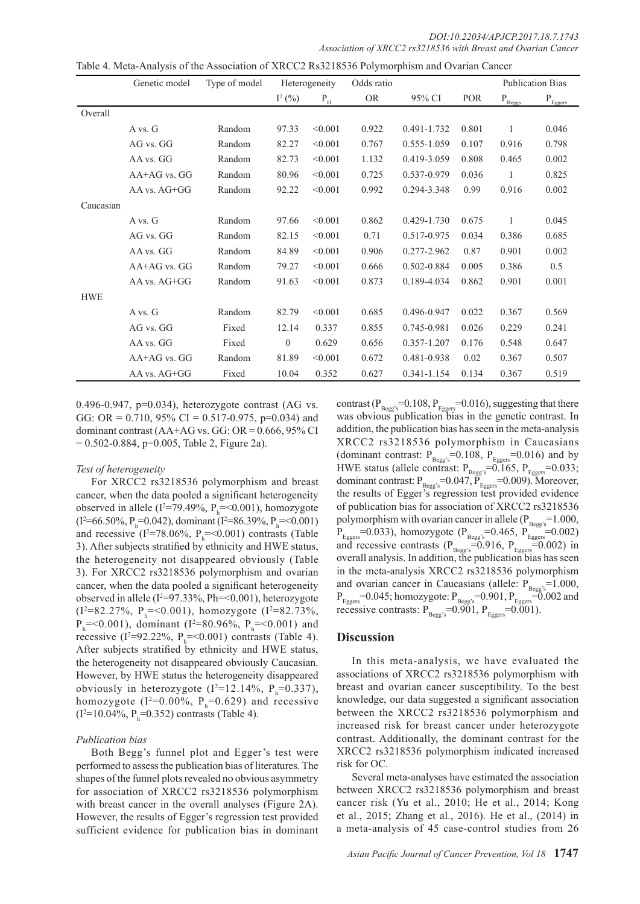*DOI:10.22034/APJCP.2017.18.7.1743 Association of XRCC2 rs3218536 with Breast and Ovarian Cancer* 

| Table 4. Meta-Analysis of the Association of XRCC2 Rs3218536 Polymorphism and Ovarian Cancer |  |  |
|----------------------------------------------------------------------------------------------|--|--|
|                                                                                              |  |  |

|            | Genetic model    | Type of model | Heterogeneity |                         | Odds ratio |             |            |                    | <b>Publication Bias</b>                  |
|------------|------------------|---------------|---------------|-------------------------|------------|-------------|------------|--------------------|------------------------------------------|
|            |                  |               | $I^2(%)$      | $\mathbf{P}_\mathrm{H}$ | <b>OR</b>  | 95% CI      | <b>POR</b> | $P_{\text{Beggs}}$ | $\mathbf{P}_{\underline{\text{Eggers}}}$ |
| Overall    |                  |               |               |                         |            |             |            |                    |                                          |
|            | A vs. G          | Random        | 97.33         | < 0.001                 | 0.922      | 0.491-1.732 | 0.801      | $\mathbf{1}$       | 0.046                                    |
|            | AG vs. GG        | Random        | 82.27         | < 0.001                 | 0.767      | 0.555-1.059 | 0.107      | 0.916              | 0.798                                    |
|            | AA vs. GG        | Random        | 82.73         | < 0.001                 | 1.132      | 0.419-3.059 | 0.808      | 0.465              | 0.002                                    |
|            | AA+AG vs. GG     | Random        | 80.96         | < 0.001                 | 0.725      | 0.537-0.979 | 0.036      | 1                  | 0.825                                    |
|            | $AA$ vs. $AG+GG$ | Random        | 92.22         | < 0.001                 | 0.992      | 0.294-3.348 | 0.99       | 0.916              | 0.002                                    |
| Caucasian  |                  |               |               |                         |            |             |            |                    |                                          |
|            | A vs. G          | Random        | 97.66         | < 0.001                 | 0.862      | 0.429-1.730 | 0.675      | 1                  | 0.045                                    |
|            | AG vs. GG        | Random        | 82.15         | < 0.001                 | 0.71       | 0.517-0.975 | 0.034      | 0.386              | 0.685                                    |
|            | AA vs. GG        | Random        | 84.89         | < 0.001                 | 0.906      | 0.277-2.962 | 0.87       | 0.901              | 0.002                                    |
|            | AA+AG vs. GG     | Random        | 79.27         | < 0.001                 | 0.666      | 0.502-0.884 | 0.005      | 0.386              | 0.5                                      |
|            | AA vs. AG+GG     | Random        | 91.63         | < 0.001                 | 0.873      | 0.189-4.034 | 0.862      | 0.901              | 0.001                                    |
| <b>HWE</b> |                  |               |               |                         |            |             |            |                    |                                          |
|            | A vs. G          | Random        | 82.79         | < 0.001                 | 0.685      | 0.496-0.947 | 0.022      | 0.367              | 0.569                                    |
|            | AG vs. GG        | Fixed         | 12.14         | 0.337                   | 0.855      | 0.745-0.981 | 0.026      | 0.229              | 0.241                                    |
|            | AA vs. GG        | Fixed         | $\theta$      | 0.629                   | 0.656      | 0.357-1.207 | 0.176      | 0.548              | 0.647                                    |
|            | $AA+AG$ vs. $GG$ | Random        | 81.89         | < 0.001                 | 0.672      | 0.481-0.938 | 0.02       | 0.367              | 0.507                                    |
|            | AA vs. AG+GG     | Fixed         | 10.04         | 0.352                   | 0.627      | 0.341-1.154 | 0.134      | 0.367              | 0.519                                    |

0.496-0.947,  $p=0.034$ ), heterozygote contrast (AG vs. GG: OR =  $0.710$ , 95% CI =  $0.517 - 0.975$ , p=0.034) and dominant contrast  $(AA+AG vs. GG: OR = 0.666, 95\% CI$  $= 0.502 - 0.884$ , p=0.005, Table 2, Figure 2a).

#### *Test of heterogeneity*

For XRCC2 rs3218536 polymorphism and breast cancer, when the data pooled a significant heterogeneity observed in allele ( $I^2 = 79.49\%$ ,  $P_h = < 0.001$ ), homozygote  $(I^2=66.50\%, P_h=0.042)$ , dominant  $(I^2=86.39\%, P_h=0.001)$ and recessive ( $I^2 = 78.06\%$ ,  $P_h = <0.001$ ) contrasts (Table 3). After subjects stratified by ethnicity and HWE status, the heterogeneity not disappeared obviously (Table 3). For XRCC2 rs3218536 polymorphism and ovarian cancer, when the data pooled a significant heterogeneity observed in allele ( $I^2 = 97.33\%$ , Ph=<0.001), heterozygote  $(I^2=82.27\%, P_h = <0.001)$ , homozygote  $(I^2=82.73\%,$  $P_h$  = < 0.001), dominant (I<sup>2</sup> = 80.96%,  $P_h$  = < 0.001) and recessive ( $I^2 = 92.22\%$ ,  $P_h = <0.001$ ) contrasts (Table 4). After subjects stratified by ethnicity and HWE status, the heterogeneity not disappeared obviously Caucasian. However, by HWE status the heterogeneity disappeared obviously in heterozygote  $(I^2=12.14\%, P_h=0.337)$ , homozygote ( $I^2=0.00\%$ ,  $P_h=0.629$ ) and recessive  $(I^2=10.04\%, P_h=0.352)$  contrasts (Table 4).

#### *Publication bias*

Both Begg's funnel plot and Egger's test were performed to assess the publication bias of literatures. The shapes of the funnel plots revealed no obvious asymmetry for association of XRCC2 rs3218536 polymorphism with breast cancer in the overall analyses (Figure 2A). However, the results of Egger's regression test provided sufficient evidence for publication bias in dominant

contrast ( $P_{\text{Begg's}}$ =0.108,  $P_{\text{Eggers}}$ =0.016), suggesting that there was obvious publication bias in the genetic contrast. In addition, the publication bias has seen in the meta-analysis XRCC2 rs3218536 polymorphism in Caucasians (dominant contrast:  $P_{Begg's} = 0.108$ ,  $P_{Eggers} = 0.016$ ) and by HWE status (allele contrast:  $P_{\text{Begg's}} = 0.165$ ,  $P_{\text{Eggers}} = 0.033$ ; dominant contrast:  $P_{\text{Begg's}} = 0.047$ ,  $\tilde{P}_{\text{Eggers}} = 0.009$ ). Moreover, the results of Egger's regression test provided evidence of publication bias for association of XRCC2 rs3218536 polymorphism with ovarian cancer in allele ( $P_{\text{Begg's}}$ =1.000,  $P_{Eggers}$ =0.033), homozygote ( $P_{Begg's}$ =0.465,  $P_{Eggers}$ =0.002) and recessive contrasts ( $P_{\text{Begg's}}=0.916$ ,  $P_{\text{Eggers}}=0.002$ ) in overall analysis. In addition, the publication bias has seen in the meta-analysis XRCC2 rs3218536 polymorphism and ovarian cancer in Caucasians (allele:  $P_{\text{Begg's}} = 1.000$ ,  $P_{Eggers}$ =0.045; homozygote:  $P_{Begg's}$ =0.901,  $P_{Eggers}$ =0.002 and recessive contrasts:  $P_{\text{Begg's}} = 0.901$ ,  $P_{\text{Eggers}} = 0.001$ ).

#### **Discussion**

In this meta-analysis, we have evaluated the associations of XRCC2 rs3218536 polymorphism with breast and ovarian cancer susceptibility. To the best knowledge, our data suggested a significant association between the XRCC2 rs3218536 polymorphism and increased risk for breast cancer under heterozygote contrast. Additionally, the dominant contrast for the XRCC2 rs3218536 polymorphism indicated increased risk for OC.

Several meta-analyses have estimated the association between XRCC2 rs3218536 polymorphism and breast cancer risk (Yu et al., 2010; He et al., 2014; Kong et al., 2015; Zhang et al., 2016). He et al., (2014) in a meta-analysis of 45 case-control studies from 26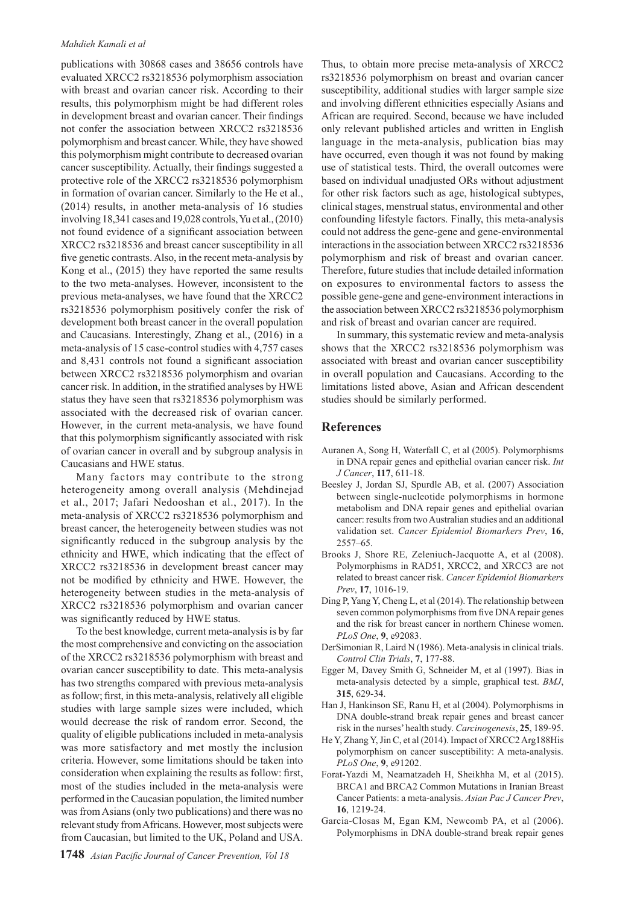#### *Mahdieh Kamali et al*

publications with 30868 cases and 38656 controls have evaluated XRCC2 rs3218536 polymorphism association with breast and ovarian cancer risk. According to their results, this polymorphism might be had different roles in development breast and ovarian cancer. Their findings not confer the association between XRCC2 rs3218536 polymorphism and breast cancer. While, they have showed this polymorphism might contribute to decreased ovarian cancer susceptibility. Actually, their findings suggested a protective role of the XRCC2 rs3218536 polymorphism in formation of ovarian cancer. Similarly to the He et al., (2014) results, in another meta-analysis of 16 studies involving 18,341 cases and 19,028 controls, Yu et al., (2010) not found evidence of a significant association between XRCC2 rs3218536 and breast cancer susceptibility in all five genetic contrasts. Also, in the recent meta-analysis by Kong et al., (2015) they have reported the same results to the two meta-analyses. However, inconsistent to the previous meta-analyses, we have found that the XRCC2 rs3218536 polymorphism positively confer the risk of development both breast cancer in the overall population and Caucasians. Interestingly, Zhang et al., (2016) in a meta-analysis of 15 case-control studies with 4,757 cases and 8,431 controls not found a significant association between XRCC2 rs3218536 polymorphism and ovarian cancer risk. In addition, in the stratified analyses by HWE status they have seen that rs3218536 polymorphism was associated with the decreased risk of ovarian cancer. However, in the current meta-analysis, we have found that this polymorphism significantly associated with risk of ovarian cancer in overall and by subgroup analysis in Caucasians and HWE status.

Many factors may contribute to the strong heterogeneity among overall analysis (Mehdinejad et al., 2017; Jafari Nedooshan et al., 2017). In the meta-analysis of XRCC2 rs3218536 polymorphism and breast cancer, the heterogeneity between studies was not significantly reduced in the subgroup analysis by the ethnicity and HWE, which indicating that the effect of XRCC2 rs3218536 in development breast cancer may not be modified by ethnicity and HWE. However, the heterogeneity between studies in the meta-analysis of XRCC2 rs3218536 polymorphism and ovarian cancer was significantly reduced by HWE status.

To the best knowledge, current meta-analysis is by far the most comprehensive and convicting on the association of the XRCC2 rs3218536 polymorphism with breast and ovarian cancer susceptibility to date. This meta-analysis has two strengths compared with previous meta-analysis as follow; first, in this meta-analysis, relatively all eligible studies with large sample sizes were included, which would decrease the risk of random error. Second, the quality of eligible publications included in meta-analysis was more satisfactory and met mostly the inclusion criteria. However, some limitations should be taken into consideration when explaining the results as follow: first, most of the studies included in the meta-analysis were performed in the Caucasian population, the limited number was from Asians (only two publications) and there was no relevant study from Africans. However, most subjects were from Caucasian, but limited to the UK, Poland and USA.

Thus, to obtain more precise meta-analysis of XRCC2 rs3218536 polymorphism on breast and ovarian cancer susceptibility, additional studies with larger sample size and involving different ethnicities especially Asians and African are required. Second, because we have included only relevant published articles and written in English language in the meta-analysis, publication bias may have occurred, even though it was not found by making use of statistical tests. Third, the overall outcomes were based on individual unadjusted ORs without adjustment for other risk factors such as age, histological subtypes, clinical stages, menstrual status, environmental and other confounding lifestyle factors. Finally, this meta-analysis could not address the gene-gene and gene-environmental interactions in the association between XRCC2 rs3218536 polymorphism and risk of breast and ovarian cancer. Therefore, future studies that include detailed information on exposures to environmental factors to assess the possible gene-gene and gene-environment interactions in the association between XRCC2 rs3218536 polymorphism and risk of breast and ovarian cancer are required.

In summary, this systematic review and meta-analysis shows that the XRCC2 rs3218536 polymorphism was associated with breast and ovarian cancer susceptibility in overall population and Caucasians. According to the limitations listed above, Asian and African descendent studies should be similarly performed.

## **References**

- Auranen A, Song H, Waterfall C, et al (2005). Polymorphisms in DNA repair genes and epithelial ovarian cancer risk. *Int J Cancer*, **117**, 611-18.
- Beesley J, Jordan SJ, Spurdle AB, et al. (2007) Association between single-nucleotide polymorphisms in hormone metabolism and DNA repair genes and epithelial ovarian cancer: results from two Australian studies and an additional validation set. *Cancer Epidemiol Biomarkers Prev*, **16**, 2557–65.
- Brooks J, Shore RE, Zeleniuch-Jacquotte A, et al (2008). Polymorphisms in RAD51, XRCC2, and XRCC3 are not related to breast cancer risk. *Cancer Epidemiol Biomarkers Prev*, **17**, 1016-19.
- Ding P, Yang Y, Cheng L, et al (2014). The relationship between seven common polymorphisms from five DNA repair genes and the risk for breast cancer in northern Chinese women. *PLoS One*, **9**, e92083.
- DerSimonian R, Laird N (1986). Meta-analysis in clinical trials. *Control Clin Trials*, **7**, 177-88.
- Egger M, Davey Smith G, Schneider M, et al (1997). Bias in meta-analysis detected by a simple, graphical test. *BMJ*, **315**, 629-34.
- Han J, Hankinson SE, Ranu H, et al (2004). Polymorphisms in DNA double-strand break repair genes and breast cancer risk in the nurses' health study. *Carcinogenesis*, **25**, 189-95.
- He Y, Zhang Y, Jin C, et al (2014). Impact of XRCC2 Arg188His polymorphism on cancer susceptibility: A meta-analysis. *PLoS One*, **9**, e91202.
- Forat-Yazdi M, Neamatzadeh H, Sheikhha M, et al (2015). BRCA1 and BRCA2 Common Mutations in Iranian Breast Cancer Patients: a meta-analysis. *Asian Pac J Cancer Prev*, **16**, 1219-24.
- Garcia-Closas M, Egan KM, Newcomb PA, et al (2006). Polymorphisms in DNA double-strand break repair genes